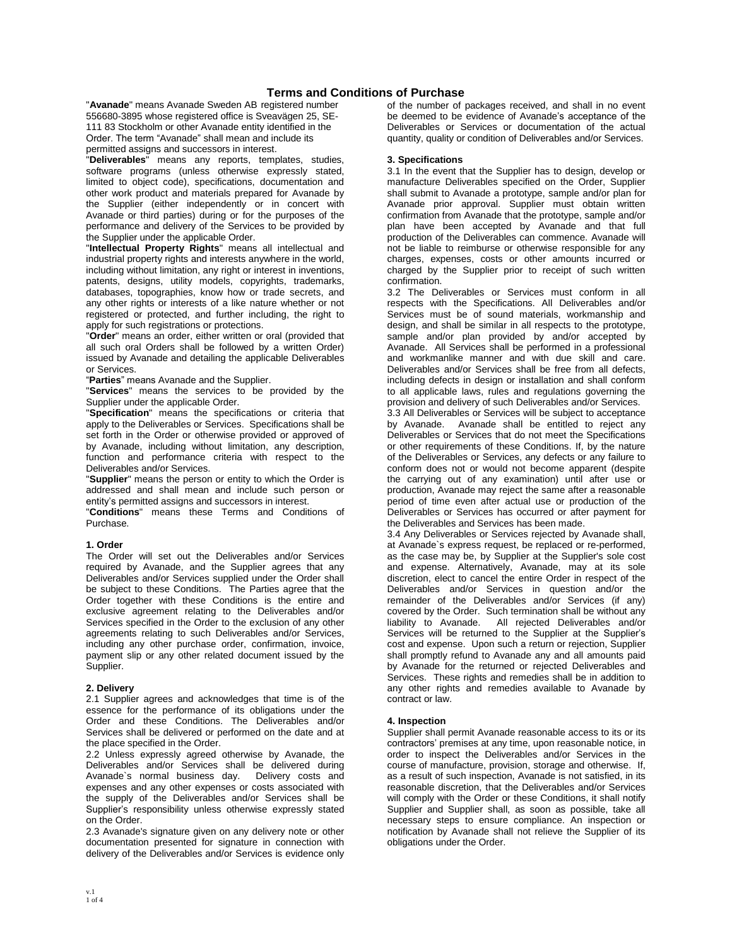# **Terms and Conditions of Purchase**

"**Avanade**" means Avanade Sweden AB registered number 556680-3895 whose registered office is Sveavägen 25, SE-111 83 Stockholm or other Avanade entity identified in the Order. The term "Avanade" shall mean and include its permitted assigns and successors in interest.

"**Deliverables**" means any reports, templates, studies, software programs (unless otherwise expressly stated, limited to object code), specifications, documentation and other work product and materials prepared for Avanade by the Supplier (either independently or in concert with Avanade or third parties) during or for the purposes of the performance and delivery of the Services to be provided by the Supplier under the applicable Order.

"**Intellectual Property Rights**" means all intellectual and industrial property rights and interests anywhere in the world, including without limitation, any right or interest in inventions, patents, designs, utility models, copyrights, trademarks, databases, topographies, know how or trade secrets, and any other rights or interests of a like nature whether or not registered or protected, and further including, the right to apply for such registrations or protections.

"**Order**" means an order, either written or oral (provided that all such oral Orders shall be followed by a written Order) issued by Avanade and detailing the applicable Deliverables or Services.

"**Parties**" means Avanade and the Supplier.

"**Services**" means the services to be provided by the Supplier under the applicable Order.

"**Specification**" means the specifications or criteria that apply to the Deliverables or Services. Specifications shall be set forth in the Order or otherwise provided or approved of by Avanade, including without limitation, any description, function and performance criteria with respect to the Deliverables and/or Services.

"**Supplier**" means the person or entity to which the Order is addressed and shall mean and include such person or entity's permitted assigns and successors in interest.

"**Conditions**" means these Terms and Conditions of Purchase.

### **1. Order**

The Order will set out the Deliverables and/or Services required by Avanade, and the Supplier agrees that any Deliverables and/or Services supplied under the Order shall be subject to these Conditions. The Parties agree that the Order together with these Conditions is the entire and exclusive agreement relating to the Deliverables and/or Services specified in the Order to the exclusion of any other agreements relating to such Deliverables and/or Services, including any other purchase order, confirmation, invoice, payment slip or any other related document issued by the Supplier.

### **2. Delivery**

2.1 Supplier agrees and acknowledges that time is of the essence for the performance of its obligations under the Order and these Conditions. The Deliverables and/or Services shall be delivered or performed on the date and at the place specified in the Order.

2.2 Unless expressly agreed otherwise by Avanade, the next contract metallicity of Delivered during<br>Deliverables and/or Services shall be delivery costs and Avanade's normal business day. expenses and any other expenses or costs associated with the supply of the Deliverables and/or Services shall be Supplier's responsibility unless otherwise expressly stated on the Order.

2.3 Avanade's signature given on any delivery note or other documentation presented for signature in connection with delivery of the Deliverables and/or Services is evidence only

of the number of packages received, and shall in no event be deemed to be evidence of Avanade's acceptance of the Deliverables or Services or documentation of the actual quantity, quality or condition of Deliverables and/or Services.

### **3. Specifications**

3.1 In the event that the Supplier has to design, develop or manufacture Deliverables specified on the Order, Supplier shall submit to Avanade a prototype, sample and/or plan for Avanade prior approval. Supplier must obtain written confirmation from Avanade that the prototype, sample and/or plan have been accepted by Avanade and that full production of the Deliverables can commence. Avanade will not be liable to reimburse or otherwise responsible for any charges, expenses, costs or other amounts incurred or charged by the Supplier prior to receipt of such written confirmation.

3.2 The Deliverables or Services must conform in all respects with the Specifications. All Deliverables and/or Services must be of sound materials, workmanship and design, and shall be similar in all respects to the prototype, sample and/or plan provided by and/or accepted by Avanade. All Services shall be performed in a professional and workmanlike manner and with due skill and care. Deliverables and/or Services shall be free from all defects, including defects in design or installation and shall conform to all applicable laws, rules and regulations governing the provision and delivery of such Deliverables and/or Services.

3.3 All Deliverables or Services will be subject to acceptance Avanade shall be entitled to reject any Deliverables or Services that do not meet the Specifications or other requirements of these Conditions. If, by the nature of the Deliverables or Services, any defects or any failure to conform does not or would not become apparent (despite the carrying out of any examination) until after use or production, Avanade may reject the same after a reasonable period of time even after actual use or production of the Deliverables or Services has occurred or after payment for the Deliverables and Services has been made.

3.4 Any Deliverables or Services rejected by Avanade shall, at Avanade`s express request, be replaced or re-performed, as the case may be, by Supplier at the Supplier's sole cost and expense. Alternatively, Avanade, may at its sole discretion, elect to cancel the entire Order in respect of the Deliverables and/or Services in question and/or the remainder of the Deliverables and/or Services (if any) covered by the Order. Such termination shall be without any liability to Avanade. All rejected Deliverables and/or Services will be returned to the Supplier at the Supplier's cost and expense. Upon such a return or rejection, Supplier shall promptly refund to Avanade any and all amounts paid by Avanade for the returned or rejected Deliverables and Services. These rights and remedies shall be in addition to any other rights and remedies available to Avanade by contract or law.

### **4. Inspection**

Supplier shall permit Avanade reasonable access to its or its contractors' premises at any time, upon reasonable notice, in order to inspect the Deliverables and/or Services in the course of manufacture, provision, storage and otherwise. If, as a result of such inspection, Avanade is not satisfied, in its reasonable discretion, that the Deliverables and/or Services will comply with the Order or these Conditions, it shall notify Supplier and Supplier shall, as soon as possible, take all necessary steps to ensure compliance. An inspection or notification by Avanade shall not relieve the Supplier of its obligations under the Order.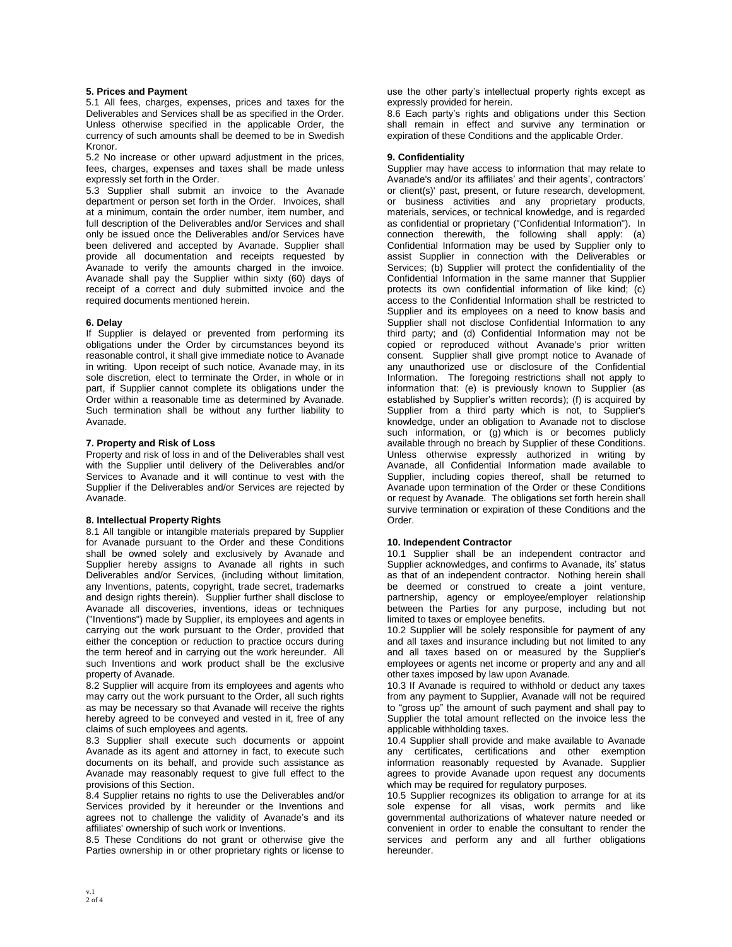### **5. Prices and Payment**

5.1 All fees, charges, expenses, prices and taxes for the Deliverables and Services shall be as specified in the Order. Unless otherwise specified in the applicable Order, the currency of such amounts shall be deemed to be in Swedish Kronor.

5.2 No increase or other upward adjustment in the prices, fees, charges, expenses and taxes shall be made unless expressly set forth in the Order.

5.3 Supplier shall submit an invoice to the Avanade department or person set forth in the Order. Invoices, shall at a minimum, contain the order number, item number, and full description of the Deliverables and/or Services and shall only be issued once the Deliverables and/or Services have been delivered and accepted by Avanade. Supplier shall provide all documentation and receipts requested by Avanade to verify the amounts charged in the invoice. Avanade shall pay the Supplier within sixty (60) days of receipt of a correct and duly submitted invoice and the required documents mentioned herein.

### **6. Delay**

If Supplier is delayed or prevented from performing its obligations under the Order by circumstances beyond its reasonable control, it shall give immediate notice to Avanade in writing. Upon receipt of such notice, Avanade may, in its sole discretion, elect to terminate the Order, in whole or in part, if Supplier cannot complete its obligations under the Order within a reasonable time as determined by Avanade. Such termination shall be without any further liability to Avanade.

### **7. Property and Risk of Loss**

Property and risk of loss in and of the Deliverables shall vest with the Supplier until delivery of the Deliverables and/or Services to Avanade and it will continue to vest with the Supplier if the Deliverables and/or Services are rejected by Avanade.

### **8. Intellectual Property Rights**

8.1 All tangible or intangible materials prepared by Supplier for Avanade pursuant to the Order and these Conditions shall be owned solely and exclusively by Avanade and Supplier hereby assigns to Avanade all rights in such Deliverables and/or Services, (including without limitation, any Inventions, patents, copyright, trade secret, trademarks and design rights therein). Supplier further shall disclose to Avanade all discoveries, inventions, ideas or techniques ("Inventions") made by Supplier, its employees and agents in carrying out the work pursuant to the Order, provided that either the conception or reduction to practice occurs during the term hereof and in carrying out the work hereunder. All such Inventions and work product shall be the exclusive property of Avanade.

8.2 Supplier will acquire from its employees and agents who may carry out the work pursuant to the Order, all such rights as may be necessary so that Avanade will receive the rights hereby agreed to be conveyed and vested in it, free of any claims of such employees and agents.

8.3 Supplier shall execute such documents or appoint Avanade as its agent and attorney in fact, to execute such documents on its behalf, and provide such assistance as Avanade may reasonably request to give full effect to the provisions of this Section.

8.4 Supplier retains no rights to use the Deliverables and/or Services provided by it hereunder or the Inventions and agrees not to challenge the validity of Avanade's and its affiliates' ownership of such work or Inventions.

8.5 These Conditions do not grant or otherwise give the Parties ownership in or other proprietary rights or license to use the other party's intellectual property rights except as expressly provided for herein.

8.6 Each party's rights and obligations under this Section shall remain in effect and survive any termination or expiration of these Conditions and the applicable Order.

#### **9. Confidentiality**

Supplier may have access to information that may relate to Avanade's and/or its affiliates' and their agents', contractors' or client(s)' past, present, or future research, development, or business activities and any proprietary products, materials, services, or technical knowledge, and is regarded as confidential or proprietary ("Confidential Information"). In connection therewith, the following shall apply: (a) Confidential Information may be used by Supplier only to assist Supplier in connection with the Deliverables or Services; (b) Supplier will protect the confidentiality of the Confidential Information in the same manner that Supplier protects its own confidential information of like kind; (c) access to the Confidential Information shall be restricted to Supplier and its employees on a need to know basis and Supplier shall not disclose Confidential Information to any third party; and (d) Confidential Information may not be copied or reproduced without Avanade's prior written consent. Supplier shall give prompt notice to Avanade of any unauthorized use or disclosure of the Confidential Information. The foregoing restrictions shall not apply to information that: (e) is previously known to Supplier (as established by Supplier's written records); (f) is acquired by Supplier from a third party which is not, to Supplier's knowledge, under an obligation to Avanade not to disclose such information, or (g) which is or becomes publicly available through no breach by Supplier of these Conditions. Unless otherwise expressly authorized in writing by Avanade, all Confidential Information made available to Supplier, including copies thereof, shall be returned to Avanade upon termination of the Order or these Conditions or request by Avanade. The obligations set forth herein shall survive termination or expiration of these Conditions and the Order.

### **10. Independent Contractor**

10.1 Supplier shall be an independent contractor and Supplier acknowledges, and confirms to Avanade, its' status as that of an independent contractor. Nothing herein shall be deemed or construed to create a joint venture, partnership, agency or employee/employer relationship between the Parties for any purpose, including but not limited to taxes or employee benefits.

10.2 Supplier will be solely responsible for payment of any and all taxes and insurance including but not limited to any and all taxes based on or measured by the Supplier's employees or agents net income or property and any and all other taxes imposed by law upon Avanade.

10.3 If Avanade is required to withhold or deduct any taxes from any payment to Supplier, Avanade will not be required to "gross up" the amount of such payment and shall pay to Supplier the total amount reflected on the invoice less the applicable withholding taxes.

10.4 Supplier shall provide and make available to Avanade any certificates, certifications and other exemption information reasonably requested by Avanade. Supplier agrees to provide Avanade upon request any documents which may be required for regulatory purposes.

10.5 Supplier recognizes its obligation to arrange for at its sole expense for all visas, work permits and like governmental authorizations of whatever nature needed or convenient in order to enable the consultant to render the services and perform any and all further obligations hereunder.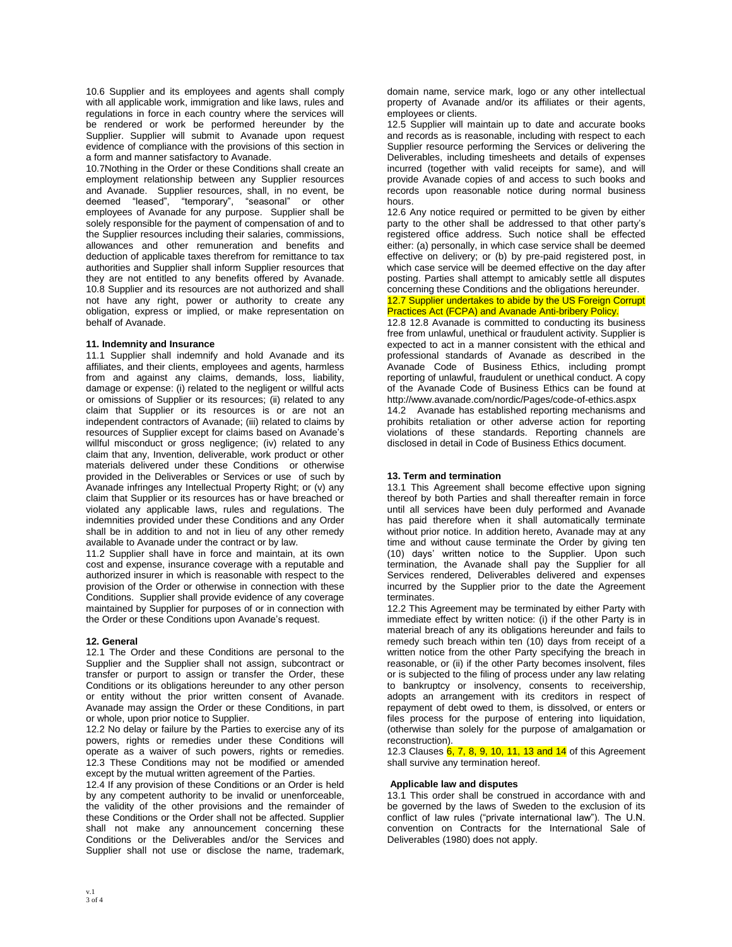10.6 Supplier and its employees and agents shall comply with all applicable work, immigration and like laws, rules and regulations in force in each country where the services will be rendered or work be performed hereunder by the Supplier. Supplier will submit to Avanade upon request evidence of compliance with the provisions of this section in a form and manner satisfactory to Avanade.

10.7Nothing in the Order or these Conditions shall create an employment relationship between any Supplier resources and Avanade. Supplier resources, shall, in no event, be deemed "leased", "temporary", "seasonal" or other employees of Avanade for any purpose. Supplier shall be solely responsible for the payment of compensation of and to the Supplier resources including their salaries, commissions, allowances and other remuneration and benefits and deduction of applicable taxes therefrom for remittance to tax authorities and Supplier shall inform Supplier resources that they are not entitled to any benefits offered by Avanade. 10.8 Supplier and its resources are not authorized and shall not have any right, power or authority to create any obligation, express or implied, or make representation on behalf of Avanade.

### **11. Indemnity and Insurance**

11.1 Supplier shall indemnify and hold Avanade and its affiliates, and their clients, employees and agents, harmless from and against any claims, demands, loss, liability, damage or expense: (i) related to the negligent or willful acts or omissions of Supplier or its resources; (ii) related to any claim that Supplier or its resources is or are not an independent contractors of Avanade; (iii) related to claims by resources of Supplier except for claims based on Avanade's willful misconduct or gross negligence; (iv) related to any claim that any, Invention, deliverable, work product or other materials delivered under these Conditions or otherwise provided in the Deliverables or Services or use of such by Avanade infringes any Intellectual Property Right; or (v) any claim that Supplier or its resources has or have breached or violated any applicable laws, rules and regulations. The indemnities provided under these Conditions and any Order shall be in addition to and not in lieu of any other remedy available to Avanade under the contract or by law.

11.2 Supplier shall have in force and maintain, at its own cost and expense, insurance coverage with a reputable and authorized insurer in which is reasonable with respect to the provision of the Order or otherwise in connection with these Conditions. Supplier shall provide evidence of any coverage maintained by Supplier for purposes of or in connection with the Order or these Conditions upon Avanade's request.

### **12. General**

12.1 The Order and these Conditions are personal to the Supplier and the Supplier shall not assign, subcontract or transfer or purport to assign or transfer the Order, these Conditions or its obligations hereunder to any other person or entity without the prior written consent of Avanade. Avanade may assign the Order or these Conditions, in part or whole, upon prior notice to Supplier.

12.2 No delay or failure by the Parties to exercise any of its powers, rights or remedies under these Conditions will operate as a waiver of such powers, rights or remedies. 12.3 These Conditions may not be modified or amended except by the mutual written agreement of the Parties.

12.4 If any provision of these Conditions or an Order is held by any competent authority to be invalid or unenforceable, the validity of the other provisions and the remainder of these Conditions or the Order shall not be affected. Supplier shall not make any announcement concerning these Conditions or the Deliverables and/or the Services and Supplier shall not use or disclose the name, trademark, domain name, service mark, logo or any other intellectual property of Avanade and/or its affiliates or their agents, employees or clients.

12.5 Supplier will maintain up to date and accurate books and records as is reasonable, including with respect to each Supplier resource performing the Services or delivering the Deliverables, including timesheets and details of expenses incurred (together with valid receipts for same), and will provide Avanade copies of and access to such books and records upon reasonable notice during normal business hours.

12.6 Any notice required or permitted to be given by either party to the other shall be addressed to that other party's registered office address. Such notice shall be effected either: (a) personally, in which case service shall be deemed effective on delivery; or (b) by pre-paid registered post, in which case service will be deemed effective on the day after posting. Parties shall attempt to amicably settle all disputes concerning these Conditions and the obligations hereunder.

# 12.7 Supplier undertakes to abide by the US Foreign Corrupt Practices Act (FCPA) and Avanade Anti-bribery Policy.

12.8 12.8 Avanade is committed to conducting its business free from unlawful, unethical or fraudulent activity. Supplier is expected to act in a manner consistent with the ethical and professional standards of Avanade as described in the Avanade Code of Business Ethics, including prompt reporting of unlawful, fraudulent or unethical conduct. A copy of the Avanade Code of Business Ethics can be found at http://www.avanade.com/nordic/Pages/code-of-ethics.aspx

14.2 Avanade has established reporting mechanisms and prohibits retaliation or other adverse action for reporting violations of these standards. Reporting channels are disclosed in detail in Code of Business Ethics document.

# **13. Term and termination**

13.1 This Agreement shall become effective upon signing thereof by both Parties and shall thereafter remain in force until all services have been duly performed and Avanade has paid therefore when it shall automatically terminate without prior notice. In addition hereto, Avanade may at any time and without cause terminate the Order by giving ten (10) days' written notice to the Supplier. Upon such termination, the Avanade shall pay the Supplier for all Services rendered, Deliverables delivered and expenses incurred by the Supplier prior to the date the Agreement terminates.

12.2 This Agreement may be terminated by either Party with immediate effect by written notice: (i) if the other Party is in material breach of any its obligations hereunder and fails to remedy such breach within ten (10) days from receipt of a written notice from the other Party specifying the breach in reasonable, or (ii) if the other Party becomes insolvent, files or is subjected to the filing of process under any law relating to bankruptcy or insolvency, consents to receivership, adopts an arrangement with its creditors in respect of repayment of debt owed to them, is dissolved, or enters or files process for the purpose of entering into liquidation, (otherwise than solely for the purpose of amalgamation or reconstruction).

12.3 Clauses  $6, 7, 8, 9, 10, 11, 13$  and  $14$  of this Agreement shall survive any termination hereof.

### **Applicable law and disputes**

13.1 This order shall be construed in accordance with and be governed by the laws of Sweden to the exclusion of its conflict of law rules ("private international law"). The U.N. convention on Contracts for the International Sale of Deliverables (1980) does not apply.